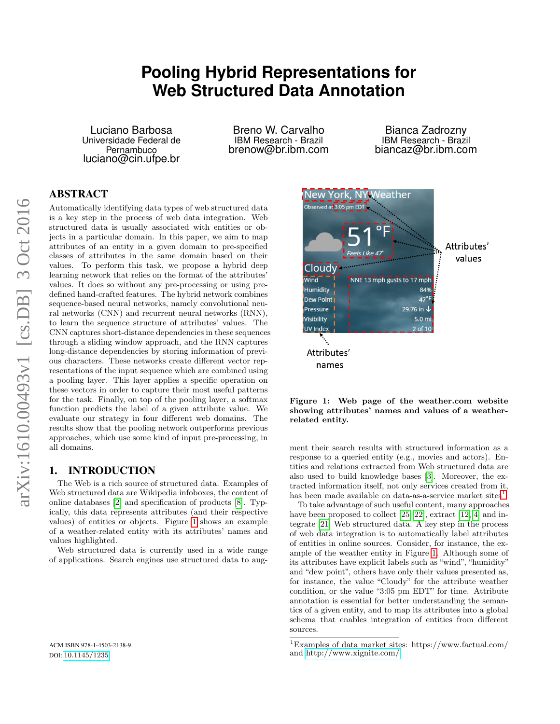# **Pooling Hybrid Representations for Web Structured Data Annotation**

Luciano Barbosa Universidade Federal de Pernambuco luciano@cin.ufpe.br

Breno W. Carvalho IBM Research - Brazil brenow@br.ibm.com

Bianca Zadrozny IBM Research - Brazil biancaz@br.ibm.com

# ABSTRACT

Automatically identifying data types of web structured data is a key step in the process of web data integration. Web structured data is usually associated with entities or objects in a particular domain. In this paper, we aim to map attributes of an entity in a given domain to pre-specified classes of attributes in the same domain based on their values. To perform this task, we propose a hybrid deep learning network that relies on the format of the attributes' values. It does so without any pre-processing or using predefined hand-crafted features. The hybrid network combines sequence-based neural networks, namely convolutional neural networks (CNN) and recurrent neural networks (RNN), to learn the sequence structure of attributes' values. The CNN captures short-distance dependencies in these sequences through a sliding window approach, and the RNN captures long-distance dependencies by storing information of previous characters. These networks create different vector representations of the input sequence which are combined using a pooling layer. This layer applies a specific operation on these vectors in order to capture their most useful patterns for the task. Finally, on top of the pooling layer, a softmax function predicts the label of a given attribute value. We evaluate our strategy in four different web domains. The results show that the pooling network outperforms previous approaches, which use some kind of input pre-processing, in all domains.

#### 1. INTRODUCTION

The Web is a rich source of structured data. Examples of Web structured data are Wikipedia infoboxes, the content of online databases [\[2\]](#page-7-0) and specification of products [\[8\]](#page-8-0). Typically, this data represents attributes (and their respective values) of entities or objects. Figure [1](#page-0-0) shows an example of a weather-related entity with its attributes' names and values highlighted.

Web structured data is currently used in a wide range of applications. Search engines use structured data to aug-



<span id="page-0-0"></span>Figure 1: Web page of the weather.com website showing attributes' names and values of a weatherrelated entity.

ment their search results with structured information as a response to a queried entity (e.g., movies and actors). Entities and relations extracted from Web structured data are also used to build knowledge bases [\[3\]](#page-7-1). Moreover, the extracted information itself, not only services created from it, has been made available on data-as-a-service market sites<sup>[1](#page-0-1)</sup>.

To take advantage of such useful content, many approaches have been proposed to collect [\[25,](#page-8-1) [22\]](#page-8-2), extract [\[12,](#page-8-3) [4\]](#page-7-2) and integrate [\[21\]](#page-8-4) Web structured data. A key step in the process of web data integration is to automatically label attributes of entities in online sources. Consider, for instance, the example of the weather entity in Figure [1.](#page-0-0) Although some of its attributes have explicit labels such as "wind", "humidity" and "dew point", others have only their values presented as, for instance, the value "Cloudy" for the attribute weather condition, or the value "3:05 pm EDT" for time. Attribute annotation is essential for better understanding the semantics of a given entity, and to map its attributes into a global schema that enables integration of entities from different sources.

<span id="page-0-1"></span><sup>1</sup>Examples of data market sites: https://www.factual.com/ and<http://www.xignite.com/>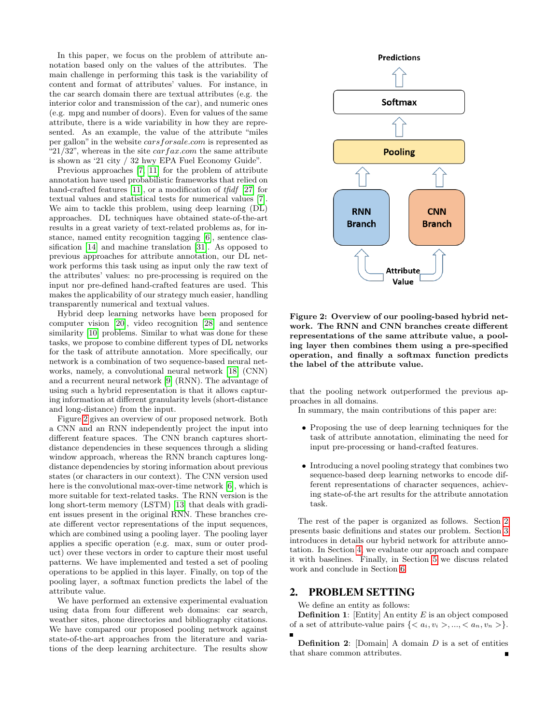In this paper, we focus on the problem of attribute annotation based only on the values of the attributes. The main challenge in performing this task is the variability of content and format of attributes' values. For instance, in the car search domain there are textual attributes (e.g. the interior color and transmission of the car), and numeric ones (e.g. mpg and number of doors). Even for values of the same attribute, there is a wide variability in how they are represented. As an example, the value of the attribute "miles per gallon" in the website carsforsale.com is represented as "21/32", whereas in the site  $carfax.com$  the same attribute is shown as '21 city / 32 hwy EPA Fuel Economy Guide".

Previous approaches [\[7,](#page-8-5) [11\]](#page-8-6) for the problem of attribute annotation have used probabilistic frameworks that relied on hand-crafted features [\[11\]](#page-8-6), or a modification of tfidf [\[27\]](#page-8-7) for textual values and statistical tests for numerical values [\[7\]](#page-8-5). We aim to tackle this problem, using deep learning (DL) approaches. DL techniques have obtained state-of-the-art results in a great variety of text-related problems as, for instance, named entity recognition tagging [\[6\]](#page-7-3), sentence classification [\[14\]](#page-8-8) and machine translation [\[31\]](#page-8-9). As opposed to previous approaches for attribute annotation, our DL network performs this task using as input only the raw text of the attributes' values: no pre-processing is required on the input nor pre-defined hand-crafted features are used. This makes the applicability of our strategy much easier, handling transparently numerical and textual values.

Hybrid deep learning networks have been proposed for computer vision [\[20\]](#page-8-10), video recognition [\[28\]](#page-8-11) and sentence similarity [\[10\]](#page-8-12) problems. Similar to what was done for these tasks, we propose to combine different types of DL networks for the task of attribute annotation. More specifically, our network is a combination of two sequence-based neural networks, namely, a convolutional neural network [\[18\]](#page-8-13) (CNN) and a recurrent neural network [\[9\]](#page-8-14) (RNN). The advantage of using such a hybrid representation is that it allows capturing information at different granularity levels (short-distance and long-distance) from the input.

Figure [2](#page-1-0) gives an overview of our proposed network. Both a CNN and an RNN independently project the input into different feature spaces. The CNN branch captures shortdistance dependencies in these sequences through a sliding window approach, whereas the RNN branch captures longdistance dependencies by storing information about previous states (or characters in our context). The CNN version used here is the convolutional max-over-time network [\[6\]](#page-7-3), which is more suitable for text-related tasks. The RNN version is the long short-term memory (LSTM) [\[13\]](#page-8-15) that deals with gradient issues present in the original RNN. These branches create different vector representations of the input sequences, which are combined using a pooling layer. The pooling layer applies a specific operation (e.g. max, sum or outer product) over these vectors in order to capture their most useful patterns. We have implemented and tested a set of pooling operations to be applied in this layer. Finally, on top of the pooling layer, a softmax function predicts the label of the attribute value.

We have performed an extensive experimental evaluation using data from four different web domains: car search, weather sites, phone directories and bibliography citations. We have compared our proposed pooling network against state-of-the-art approaches from the literature and variations of the deep learning architecture. The results show



<span id="page-1-0"></span>Figure 2: Overview of our pooling-based hybrid network. The RNN and CNN branches create different representations of the same attribute value, a pooling layer then combines them using a pre-specified operation, and finally a softmax function predicts the label of the attribute value.

that the pooling network outperformed the previous approaches in all domains.

In summary, the main contributions of this paper are:

- Proposing the use of deep learning techniques for the task of attribute annotation, eliminating the need for input pre-processing or hand-crafted features.
- Introducing a novel pooling strategy that combines two sequence-based deep learning networks to encode different representations of character sequences, achieving state-of-the art results for the attribute annotation task.

The rest of the paper is organized as follows. Section [2](#page-1-1) presents basic definitions and states our problem. Section [3](#page-2-0) introduces in details our hybrid network for attribute annotation. In Section [4,](#page-4-0) we evaluate our approach and compare it with baselines. Finally, in Section [5](#page-6-0) we discuss related work and conclude in Section [6.](#page-7-4)

#### <span id="page-1-1"></span>2. PROBLEM SETTING

We define an entity as follows:

**Definition 1:** [Entity] An entity  $E$  is an object composed of a set of attribute-value pairs  $\{, ..., \}$ .

**Definition 2:** [Domain] A domain  $D$  is a set of entities that share common attributes.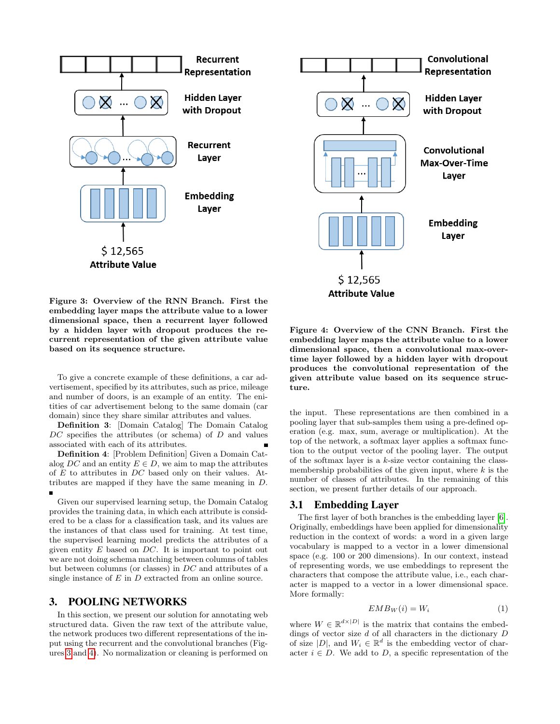



<span id="page-2-1"></span>Figure 3: Overview of the RNN Branch. First the embedding layer maps the attribute value to a lower dimensional space, then a recurrent layer followed by a hidden layer with dropout produces the recurrent representation of the given attribute value based on its sequence structure.

To give a concrete example of these definitions, a car advertisement, specified by its attributes, such as price, mileage and number of doors, is an example of an entity. The enitities of car advertisement belong to the same domain (car domain) since they share similar attributes and values.

Definition 3: [Domain Catalog] The Domain Catalog  $DC$  specifies the attributes (or schema) of  $D$  and values associated with each of its attributes.

Definition 4: [Problem Definition] Given a Domain Catalog DC and an entity  $E \in D$ , we aim to map the attributes of E to attributes in DC based only on their values. Attributes are mapped if they have the same meaning in D.

Given our supervised learning setup, the Domain Catalog provides the training data, in which each attribute is considered to be a class for a classification task, and its values are the instances of that class used for training. At test time, the supervised learning model predicts the attributes of a given entity  $E$  based on  $DC$ . It is important to point out we are not doing schema matching between columns of tables but between columns (or classes) in DC and attributes of a single instance of  $E$  in  $D$  extracted from an online source.

#### <span id="page-2-0"></span>3. POOLING NETWORKS

In this section, we present our solution for annotating web structured data. Given the raw text of the attribute value, the network produces two different representations of the input using the recurrent and the convolutional branches (Figures [3](#page-2-1) and [4\)](#page-2-2). No normalization or cleaning is performed on

<span id="page-2-2"></span>Figure 4: Overview of the CNN Branch. First the embedding layer maps the attribute value to a lower dimensional space, then a convolutional max-overtime layer followed by a hidden layer with dropout produces the convolutional representation of the given attribute value based on its sequence structure.

the input. These representations are then combined in a pooling layer that sub-samples them using a pre-defined operation (e.g. max, sum, average or multiplication). At the top of the network, a softmax layer applies a softmax function to the output vector of the pooling layer. The output of the softmax layer is a  $k$ -size vector containing the classmembership probabilities of the given input, where  $k$  is the number of classes of attributes. In the remaining of this section, we present further details of our approach.

#### 3.1 Embedding Layer

The first layer of both branches is the embedding layer [\[6\]](#page-7-3). Originally, embeddings have been applied for dimensionality reduction in the context of words: a word in a given large vocabulary is mapped to a vector in a lower dimensional space (e.g. 100 or 200 dimensions). In our context, instead of representing words, we use embeddings to represent the characters that compose the attribute value, i.e., each character is mapped to a vector in a lower dimensional space. More formally:

$$
EMB_W(i) = W_i \tag{1}
$$

where  $W \in \mathbb{R}^{d \times |D|}$  is the matrix that contains the embeddings of vector size  $d$  of all characters in the dictionary  $D$ of size  $|D|$ , and  $W_i \in \mathbb{R}^d$  is the embedding vector of character  $i \in D$ . We add to D, a specific representation of the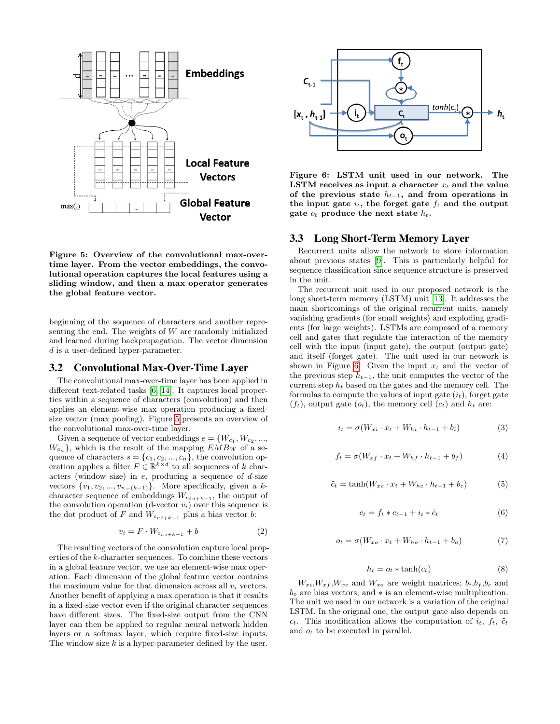

<span id="page-3-0"></span>Figure 5: Overview of the convolutional max-overtime layer. From the vector embeddings, the convolutional operation captures the local features using a sliding window, and then a max operator generates the global feature vector.

beginning of the sequence of characters and another representing the end. The weights of  $W$  are randomly initialized and learned during backpropagation. The vector dimension d is a user-defined hyper-parameter.

#### 3.2 Convolutional Max-Over-Time Layer

The convolutional max-over-time layer has been applied in different text-related tasks [\[6,](#page-7-3) [14\]](#page-8-8). It captures local properties within a sequence of characters (convolution) and then applies an element-wise max operation producing a fixedsize vector (max pooling). Figure [5](#page-3-0) presents an overview of the convolutional max-over-time layer.

Given a sequence of vector embeddings  $e = \{W_{c_1}, W_{c_2}, ...,$  $W_{c_n}$ , which is the result of the mapping  $EMB_W$  of a sequence of characters  $s = \{c_1, c_2, ..., c_n\}$ , the convolution operation applies a filter  $F \in \mathbb{R}^{k \times d}$  to all sequences of k characters (window size) in  $e$ , producing a sequence of  $d$ -size vectors  $\{v_1, v_2, ..., v_{n-(k-1)}\}$ . More specifically, given a kcharacter sequence of embeddings  $W_{c_{i:i+k-1}}$ , the output of the convolution operation (d-vector  $v_i$ ) over this sequence is the dot product of F and  $W_{c_{i:i+k-1}}$  plus a bias vector b:

$$
v_i = F \cdot W_{c_{i:i+k-1}} + b \tag{2}
$$

The resulting vectors of the convolution capture local properties of the k-character sequences. To combine these vectors in a global feature vector, we use an element-wise max operation. Each dimension of the global feature vector contains the maximum value for that dimension across all  $v_i$  vectors. Another benefit of applying a max operation is that it results in a fixed-size vector even if the original character sequences have different sizes. The fixed-size output from the CNN layer can then be applied to regular neural network hidden layers or a softmax layer, which require fixed-size inputs. The window size  $k$  is a hyper-parameter defined by the user.



<span id="page-3-1"></span>Figure 6: LSTM unit used in our network. The LSTM receives as input a character  $x_t$  and the value of the previous state  $h_{t-1}$ , and from operations in the input gate  $i_t$ , the forget gate  $f_t$  and the output gate  $o_t$  produce the next state  $h_t$ .

#### 3.3 Long Short-Term Memory Layer

Recurrent units allow the network to store information about previous states [\[9\]](#page-8-14). This is particularly helpful for sequence classification since sequence structure is preserved in the unit.

The recurrent unit used in our proposed network is the long short-term memory (LSTM) unit [\[13\]](#page-8-15). It addresses the main shortcomings of the original recurrent units, namely vanishing gradients (for small weights) and exploding gradients (for large weights). LSTMs are composed of a memory cell and gates that regulate the interaction of the memory cell with the input (input gate), the output (output gate) and itself (forget gate). The unit used in our network is shown in Figure [6.](#page-3-1) Given the input  $x_t$  and the vector of the previous step  $h_{t-1}$ , the unit computes the vector of the current step  $h_t$  based on the gates and the memory cell. The formulas to compute the values of input gate  $(i_t)$ , forget gate  $(f_t)$ , output gate  $(o_t)$ , the memory cell  $(c_t)$  and  $h_t$  are:

$$
i_t = \sigma(W_{xi} \cdot x_t + W_{hi} \cdot h_{t-1} + b_i)
$$
\n(3)

$$
f_t = \sigma(W_{xf} \cdot x_t + W_{hf} \cdot h_{t-1} + b_f)
$$
\n<sup>(4)</sup>

$$
\tilde{c}_t = \tanh(W_{xc} \cdot x_t + W_{hc} \cdot h_{t-1} + b_c) \tag{5}
$$

$$
c_t = f_t * c_{t-1} + i_t * \tilde{c}_t \tag{6}
$$

$$
o_t = \sigma(W_{xo} \cdot x_t + W_{ho} \cdot h_{t-1} + b_o)
$$
 (7)

$$
h_t = o_t * \tanh(c_t) \tag{8}
$$

 $W_{xi}, W_{xf}, W_{xc}$  and  $W_{xo}$  are weight matrices;  $b_i, b_f, b_c$  and  $b<sub>o</sub>$  are bias vectors; and  $*$  is an element-wise multiplication. The unit we used in our network is a variation of the original LSTM. In the original one, the output gate also depends on  $c_t$ . This modification allows the computation of  $i_t$ ,  $f_t$ ,  $\tilde{c}_t$ and  $o_t$  to be executed in parallel.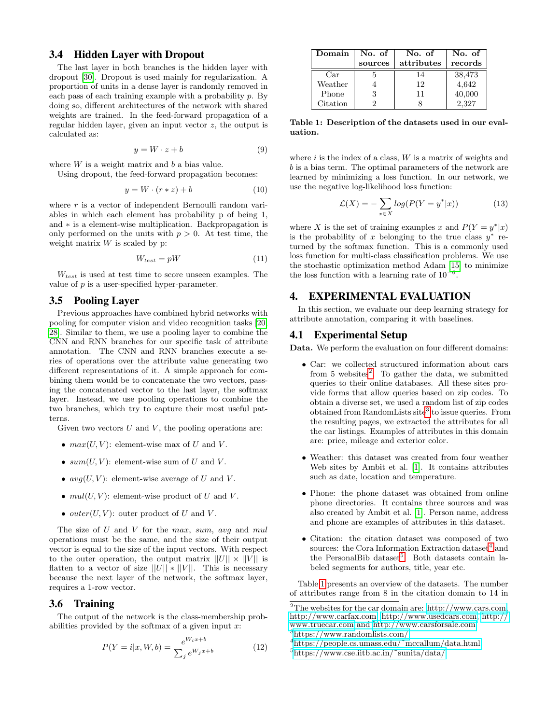# 3.4 Hidden Layer with Dropout

The last layer in both branches is the hidden layer with dropout [\[30\]](#page-8-16). Dropout is used mainly for regularization. A proportion of units in a dense layer is randomly removed in each pass of each training example with a probability  $p$ . By doing so, different architectures of the network with shared weights are trained. In the feed-forward propagation of a regular hidden layer, given an input vector z, the output is calculated as:

$$
y = W \cdot z + b \tag{9}
$$

where  $W$  is a weight matrix and  $b$  a bias value.

Using dropout, the feed-forward propagation becomes:

$$
y = W \cdot (r * z) + b \tag{10}
$$

where  $r$  is a vector of independent Bernoulli random variables in which each element has probability p of being 1, and ∗ is a element-wise multiplication. Backpropagation is only performed on the units with  $p > 0$ . At test time, the weight matrix  $W$  is scaled by p:

$$
W_{test} = pW \tag{11}
$$

 $W_{test}$  is used at test time to score unseen examples. The value of  $p$  is a user-specified hyper-parameter.

#### 3.5 Pooling Layer

Previous approaches have combined hybrid networks with pooling for computer vision and video recognition tasks [\[20,](#page-8-10) [28\]](#page-8-11). Similar to them, we use a pooling layer to combine the CNN and RNN branches for our specific task of attribute annotation. The CNN and RNN branches execute a series of operations over the attribute value generating two different representations of it. A simple approach for combining them would be to concatenate the two vectors, passing the concatenated vector to the last layer, the softmax layer. Instead, we use pooling operations to combine the two branches, which try to capture their most useful patterns.

Given two vectors  $U$  and  $V$ , the pooling operations are:

- $max(U, V)$ : element-wise max of U and V.
- $sum(U, V)$ : element-wise sum of U and V.
- $avg(U, V)$ : element-wise average of U and V.
- $mul(U, V)$ : element-wise product of U and V.
- *outer* $(U, V)$ : outer product of U and V.

The size of  $U$  and  $V$  for the max, sum, avg and mul operations must be the same, and the size of their output vector is equal to the size of the input vectors. With respect to the outer operation, the output matrix  $||U|| \times ||V||$  is flatten to a vector of size  $||U|| * ||V||$ . This is necessary because the next layer of the network, the softmax layer, requires a 1-row vector.

# 3.6 Training

The output of the network is the class-membership probabilities provided by the softmax of a given input  $x$ :

$$
P(Y = i|x, W, b) = \frac{e^{W_i x + b}}{\sum_j e^{W_j x + b}}
$$
(12)

| Domain   | No. of  | No. of     | No. of  |
|----------|---------|------------|---------|
|          | sources | attributes | records |
| Car      |         | 14         | 38,473  |
| Weather  |         | 12         | 4,642   |
| Phone    |         | 11         | 40,000  |
| Citation |         |            | 2,327   |

<span id="page-4-5"></span>Table 1: Description of the datasets used in our evaluation.

where  $i$  is the index of a class,  $W$  is a matrix of weights and b is a bias term. The optimal parameters of the network are learned by minimizing a loss function. In our network, we use the negative log-likelihood loss function:

$$
\mathcal{L}(X) = -\sum_{x \in X} \log(P(Y = y^* | x)) \tag{13}
$$

where X is the set of training examples x and  $P(Y = y^*|x)$ is the probability of x belonging to the true class  $y^*$  returned by the softmax function. This is a commonly used loss function for multi-class classification problems. We use the stochastic optimization method Adam [\[15\]](#page-8-17) to minimize the loss function with a learning rate of  $10^{-6}$ .

# <span id="page-4-0"></span>4. EXPERIMENTAL EVALUATION

In this section, we evaluate our deep learning strategy for attribute annotation, comparing it with baselines.

# 4.1 Experimental Setup

Data. We perform the evaluation on four different domains:

- Car: we collected structured information about cars from 5 websites<sup>[2](#page-4-1)</sup>. To gather the data, we submitted queries to their online databases. All these sites provide forms that allow queries based on zip codes. To obtain a diverse set, we used a random list of zip codes obtained from RandomLists site<sup>[3](#page-4-2)</sup> to issue queries. From the resulting pages, we extracted the attributes for all the car listings. Examples of attributes in this domain are: price, mileage and exterior color.
- Weather: this dataset was created from four weather Web sites by Ambit et al. [\[1\]](#page-7-5). It contains attributes such as date, location and temperature.
- Phone: the phone dataset was obtained from online phone directories. It contains three sources and was also created by Ambit et al. [\[1\]](#page-7-5). Person name, address and phone are examples of attributes in this dataset.
- Citation: the citation dataset was composed of two sources: the Cora Information Extraction dataset<sup>[4](#page-4-3)</sup> and the PersonalBib dataset<sup>[5](#page-4-4)</sup>. Both datasets contain labeled segments for authors, title, year etc.

Table [1](#page-4-5) presents an overview of the datasets. The number of attributes range from 8 in the citation domain to 14 in

<span id="page-4-1"></span><sup>2</sup>The websites for the car domain are: [http://www.cars.com,](http://www.cars.com) [http://www.carfax.com,](http://www.carfax.com) [http://www.usedcars.com,](http://www.usedcars.com) [http://](http://www.truecar.com) [www.truecar.com](http://www.truecar.com) and [http://www.carsforsale.com.](http://www.carsforsale.com) <sup>3</sup><https://www.randomlists.com/>

<span id="page-4-3"></span><span id="page-4-2"></span>

<sup>4</sup>[https://people.cs.umass.edu/˜mccallum/data.html](https://people.cs.umass.edu/~mccallum/data.html)

<span id="page-4-4"></span><sup>5</sup>[https://www.cse.iitb.ac.in/˜sunita/data/](https://www.cse.iitb.ac.in/~sunita/data/)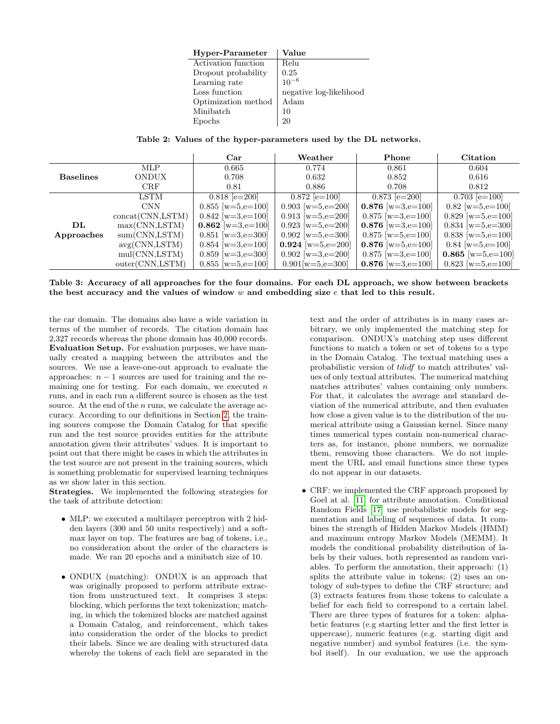| Hyper-Parameter     | Value                   |  |  |
|---------------------|-------------------------|--|--|
| Activation function | Relu                    |  |  |
| Dropout probability | 0.25                    |  |  |
| Learning rate       | $10^{-6}$               |  |  |
| Loss function       | negative log-likelihood |  |  |
| Optimization method | Adam                    |  |  |
| Minibatch           | 10                      |  |  |
|                     | 20                      |  |  |

<span id="page-5-0"></span>Table 2: Values of the hyper-parameters used by the DL networks.

|                  |                   | Car                 | Weather                | Phone               | <b>Citation</b>            |
|------------------|-------------------|---------------------|------------------------|---------------------|----------------------------|
|                  | <b>MLP</b>        | 0.665               | 0.774                  | 0.861               | 0.604                      |
| <b>Baselines</b> | <b>ONDUX</b>      | 0.708               | 0.632                  | 0.852               | 0.616                      |
|                  | CRF               | 0.81                | 0.886                  | 0.708               | 0.812                      |
|                  | LSTM              | $0.818$ [e= $200$ ] | $0.872$ [e=100]        | $0.873$ [e=200]     | $0.703$ [e=100]            |
|                  | <b>CNN</b>        | $0.855$ [w=5,e=100] | $0.903$ [w=5,e=200]    | $0.876$ [w=3,e=100] | $0.82$ [w=5,e=100]         |
|                  | concat(CNN, LSTM) | $0.842$ [w=3,e=100] | $0.913$ [w=5,e=200]    | $0.875$ [w=3,e=100] | $0.829$ [w=5,e=100]        |
| $\mathbf{DL}$    | max(CNN, LSTM)    | $0.862$ [w=3,e=100] | $0.923$ [w=5,e=200]    | $0.876$ [w=3,e=100] | $0.834$ [w=5,e=300]        |
| Approaches       | sum(CNN, LSTM)    | $0.851$ [w=3,e=300] | $0.902$ [w=5,e=300]    | $0.875$ [w=5,e=100] | $0.838$ [w=5,e=100]        |
|                  | avg(CNN, LSTM)    | $0.854$ w=3,e=100   | 0.924 [ $w=5, e=200$ ] | $0.876$ [w=5,e=100] | $0.84 \text{ [w=5,e=100]}$ |
|                  | mul(CNN,LSTM)     | $0.859$ [w=3,e=300] | $0.902$ [w=3,e=200]    | $0.875$ [w=3,e=100] | $0.865$ [w=5,e=100]        |
|                  | outer(CNN, LSTM)  | $0.855$ w=5,e=100   | $0.901[w=5,e=300]$     | 0.876 $w=3,e=100$   | $0.823$ [w=5,e=100]        |

<span id="page-5-1"></span>Table 3: Accuracy of all approaches for the four domains. For each DL approach, we show between brackets the best accuracy and the values of window  $w$  and embedding size  $e$  that led to this result.

the car domain. The domains also have a wide variation in terms of the number of records. The citation domain has 2,327 records whereas the phone domain has 40,000 records. Evaluation Setup. For evaluation purposes, we have manually created a mapping between the attributes and the sources. We use a leave-one-out approach to evaluate the approaches:  $n - 1$  sources are used for training and the remaining one for testing. For each domain, we executed  $n$ runs, and in each run a different source is chosen as the test source. At the end of the  $n$  runs, we calculate the average accuracy. According to our definitions in Section [2,](#page-1-1) the training sources compose the Domain Catalog for that specific run and the test source provides entities for the attribute annotation given their attributes' values. It is important to point out that there might be cases in which the attributes in the test source are not present in the training sources, which is something problematic for supervised learning techniques as we show later in this section.

Strategies. We implemented the following strategies for the task of attribute detection:

- MLP: we executed a multilayer perceptron with 2 hidden layers (300 and 50 units respectively) and a softmax layer on top. The features are bag of tokens, i.e., no consideration about the order of the characters is made. We ran 20 epochs and a minibatch size of 10.
- ONDUX (matching): ONDUX is an approach that was originally proposed to perform attribute extraction from unstructured text. It comprises 3 steps: blocking, which performs the text tokenization; matching, in which the tokenized blocks are matched against a Domain Catalog, and reinforcement, which takes into consideration the order of the blocks to predict their labels. Since we are dealing with structured data whereby the tokens of each field are separated in the

text and the order of attributes is in many cases arbitrary, we only implemented the matching step for comparison. ONDUX's matching step uses different functions to match a token or set of tokens to a type in the Domain Catalog. The textual matching uses a probabilistic version of tdidf to match attributes' values of only textual attributes. The numerical matching matches attributes' values containing only numbers. For that, it calculates the average and standard deviation of the numerical attribute, and then evaluates how close a given value is to the distribution of the numerical attribute using a Gaussian kernel. Since many times numerical types contain non-numerical characters as, for instance, phone numbers, we normalize them, removing those characters. We do not implement the URL and email functions since these types do not appear in our datasets.

• CRF: we implemented the CRF approach proposed by Goel at al. [\[11\]](#page-8-6) for attribute annotation. Conditional Random Fields [\[17\]](#page-8-18) use probabilistic models for segmentation and labeling of sequences of data. It combines the strength of Hidden Markov Models (HMM) and maximum entropy Markov Models (MEMM). It models the conditional probability distribution of labels by their values, both represented as random variables. To perform the annotation, their approach: (1) splits the attribute value in tokens; (2) uses an ontology of sub-types to define the CRF structure; and (3) extracts features from those tokens to calculate a belief for each field to correspond to a certain label. There are three types of features for a token: alphabetic features (e.g starting letter and the first letter is uppercase), numeric features (e.g. starting digit and negative number) and symbol features (i.e. the symbol itself). In our evaluation, we use the approach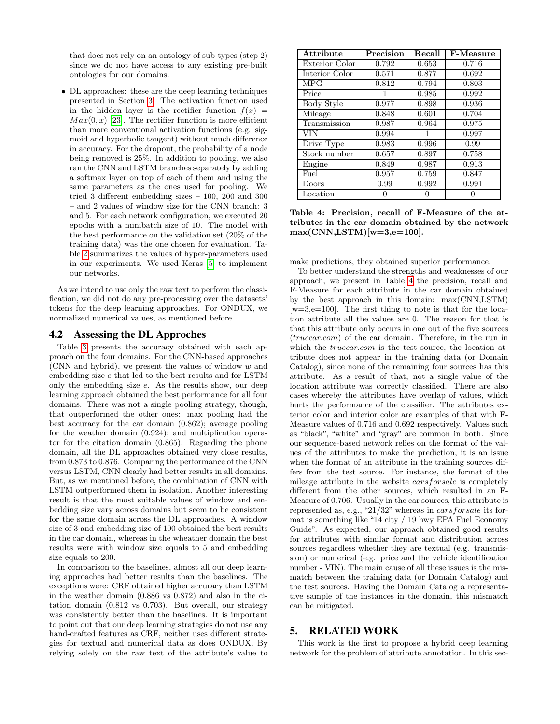that does not rely on an ontology of sub-types (step 2) since we do not have access to any existing pre-built ontologies for our domains.

• DL approaches: these are the deep learning techniques presented in Section [3.](#page-2-0) The activation function used in the hidden layer is the rectifier function  $f(x) =$  $Max(0, x)$  [\[23\]](#page-8-19). The rectifier function is more efficient than more conventional activation functions (e.g. sigmoid and hyperbolic tangent) without much difference in accuracy. For the dropout, the probability of a node being removed is 25%. In addition to pooling, we also ran the CNN and LSTM branches separately by adding a softmax layer on top of each of them and using the same parameters as the ones used for pooling. We tried 3 different embedding sizes – 100, 200 and 300 – and 2 values of window size for the CNN branch: 3 and 5. For each network configuration, we executed 20 epochs with a minibatch size of 10. The model with the best performance on the validation set (20% of the training data) was the one chosen for evaluation. Table [2](#page-5-0) summarizes the values of hyper-parameters used in our experiments. We used Keras [\[5\]](#page-7-6) to implement our networks.

As we intend to use only the raw text to perform the classification, we did not do any pre-processing over the datasets' tokens for the deep learning approaches. For ONDUX, we normalized numerical values, as mentioned before.

#### 4.2 Assessing the DL Approches

Table [3](#page-5-1) presents the accuracy obtained with each approach on the four domains. For the CNN-based approaches (CNN and hybrid), we present the values of window w and embedding size e that led to the best results and for LSTM only the embedding size e. As the results show, our deep learning approach obtained the best performance for all four domains. There was not a single pooling strategy, though, that outperformed the other ones: max pooling had the best accuracy for the car domain (0.862); average pooling for the weather domain (0.924); and multiplication operator for the citation domain (0.865). Regarding the phone domain, all the DL approaches obtained very close results, from 0.873 to 0.876. Comparing the performance of the CNN versus LSTM, CNN clearly had better results in all domains. But, as we mentioned before, the combination of CNN with LSTM outperformed them in isolation. Another interesting result is that the most suitable values of window and embedding size vary across domains but seem to be consistent for the same domain across the DL approaches. A window size of 3 and embedding size of 100 obtained the best results in the car domain, whereas in the wheather domain the best results were with window size equals to 5 and embedding size equals to 200.

In comparison to the baselines, almost all our deep learning approaches had better results than the baselines. The exceptions were: CRF obtained higher accuracy than LSTM in the weather domain (0.886 vs 0.872) and also in the citation domain (0.812 vs 0.703). But overall, our strategy was consistently better than the baselines. It is important to point out that our deep learning strategies do not use any hand-crafted features as CRF, neither uses different strategies for textual and numerical data as does ONDUX. By relying solely on the raw text of the attribute's value to

| Attribute      | Precision | Recall | $\overline{\text{F}}$ -Measure |
|----------------|-----------|--------|--------------------------------|
| Exterior Color | 0.792     | 0.653  | 0.716                          |
| Interior Color | 0.571     | 0.877  | 0.692                          |
| <b>MPG</b>     | 0.812     | 0.794  | 0.803                          |
| Price          | 1         | 0.985  | 0.992                          |
| Body Style     | 0.977     | 0.898  | 0.936                          |
| Mileage        | 0.848     | 0.601  | 0.704                          |
| Transmission   | 0.987     | 0.964  | 0.975                          |
| VIN            | 0.994     | 1      | 0.997                          |
| Drive Type     | 0.983     | 0.996  | 0.99                           |
| Stock number   | 0.657     | 0.897  | 0.758                          |
| Engine         | 0.849     | 0.987  | 0.913                          |
| Fuel           | 0.957     | 0.759  | 0.847                          |
| Doors          | 0.99      | 0.992  | 0.991                          |
| Location       |           |        |                                |

<span id="page-6-1"></span>Table 4: Precision, recall of F-Measure of the attributes in the car domain obtained by the network  $max(CNN, LSTM)[w=3,e=100].$ 

make predictions, they obtained superior performance.

To better understand the strengths and weaknesses of our approach, we present in Table [4](#page-6-1) the precision, recall and F-Measure for each attribute in the car domain obtained by the best approach in this domain: max(CNN,LSTM)  $[w=3,e=100]$ . The first thing to note is that for the location attribute all the values are 0. The reason for that is that this attribute only occurs in one out of the five sources (truecar.com) of the car domain. Therefore, in the run in which the *truecar.com* is the test source, the location attribute does not appear in the training data (or Domain Catalog), since none of the remaining four sources has this attribute. As a result of that, not a single value of the location attribute was correctly classified. There are also cases whereby the attributes have overlap of values, which hurts the performance of the classifier. The attributes exterior color and interior color are examples of that with F-Measure values of 0.716 and 0.692 respectively. Values such as "black", "white" and "gray" are common in both. Since our sequence-based network relies on the format of the values of the attributes to make the prediction, it is an issue when the format of an attribute in the training sources differs from the test source. For instance, the format of the mileage attribute in the website carsforsale is completely different from the other sources, which resulted in an F-Measure of 0.706. Usually in the car sources, this attribute is represented as, e.g., "21/32" whereas in carsforsale its format is something like "14 city / 19 hwy EPA Fuel Economy Guide". As expected, our approach obtained good results for attributes with similar format and distribution across sources regardless whether they are textual (e.g. transmission) or numerical (e.g. price and the vehicle identification number - VIN). The main cause of all these issues is the mismatch between the training data (or Domain Catalog) and the test sources. Having the Domain Catalog a representative sample of the instances in the domain, this mismatch can be mitigated.

#### <span id="page-6-0"></span>5. RELATED WORK

This work is the first to propose a hybrid deep learning network for the problem of attribute annotation. In this sec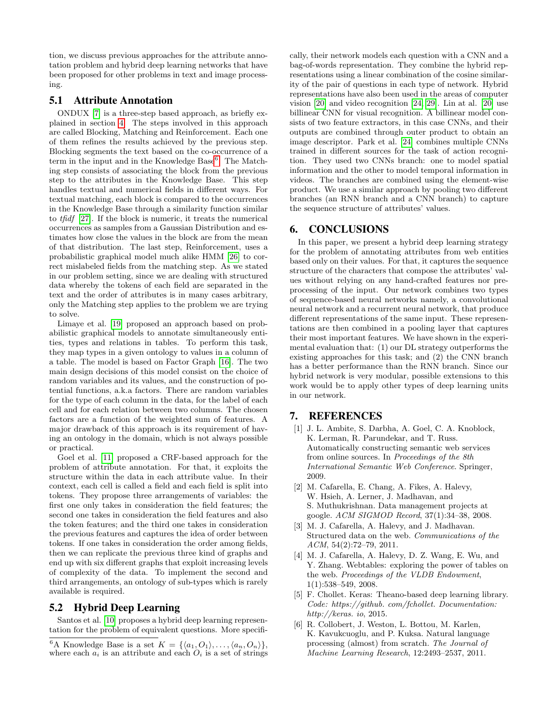tion, we discuss previous approaches for the attribute annotation problem and hybrid deep learning networks that have been proposed for other problems in text and image processing.

# 5.1 Attribute Annotation

ONDUX [\[7\]](#page-8-5) is a three-step based approach, as briefly explained in section [4.](#page-4-0) The steps involved in this approach are called Blocking, Matching and Reinforcement. Each one of them refines the results achieved by the previous step. Blocking segments the text based on the co-occurrence of a term in the input and in the Knowledge Base<sup>[6](#page-7-7)</sup>. The Matching step consists of associating the block from the previous step to the attributes in the Knowledge Base. This step handles textual and numerical fields in different ways. For textual matching, each block is compared to the occurrences in the Knowledge Base through a similarity function similar to tfidf [\[27\]](#page-8-7). If the block is numeric, it treats the numerical occurrences as samples from a Gaussian Distribution and estimates how close the values in the block are from the mean of that distribution. The last step, Reinforcement, uses a probabilistic graphical model much alike HMM [\[26\]](#page-8-20) to correct mislabeled fields from the matching step. As we stated in our problem setting, since we are dealing with structured data whereby the tokens of each field are separated in the text and the order of attributes is in many cases arbitrary, only the Matching step applies to the problem we are trying to solve.

Limaye et al. [\[19\]](#page-8-21) proposed an approach based on probabilistic graphical models to annotate simultaneously entities, types and relations in tables. To perform this task, they map types in a given ontology to values in a column of a table. The model is based on Factor Graph [\[16\]](#page-8-22). The two main design decisions of this model consist on the choice of random variables and its values, and the construction of potential functions, a.k.a factors. There are random variables for the type of each column in the data, for the label of each cell and for each relation between two columns. The chosen factors are a function of the weighted sum of features. A major drawback of this approach is its requirement of having an ontology in the domain, which is not always possible or practical.

Goel et al. [\[11\]](#page-8-6) proposed a CRF-based approach for the problem of attribute annotation. For that, it exploits the structure within the data in each attribute value. In their context, each cell is called a field and each field is split into tokens. They propose three arrangements of variables: the first one only takes in consideration the field features; the second one takes in consideration the field features and also the token features; and the third one takes in consideration the previous features and captures the idea of order between tokens. If one takes in consideration the order among fields, then we can replicate the previous three kind of graphs and end up with six different graphs that exploit increasing levels of complexity of the data. To implement the second and third arrangements, an ontology of sub-types which is rarely available is required.

# 5.2 Hybrid Deep Learning

Santos et al. [\[10\]](#page-8-12) proposes a hybrid deep learning representation for the problem of equivalent questions. More specifically, their network models each question with a CNN and a bag-of-words representation. They combine the hybrid representations using a linear combination of the cosine similarity of the pair of questions in each type of network. Hybrid representations have also been used in the areas of computer vision [\[20\]](#page-8-10) and video recognition [\[24,](#page-8-23) [29\]](#page-8-24). Lin at al. [\[20\]](#page-8-10) use billinear CNN for visual recognition. A billinear model consists of two feature extractors, in this case CNNs, and their outputs are combined through outer product to obtain an image descriptor. Park et al. [\[24\]](#page-8-23) combines multiple CNNs trained in different sources for the task of action recognition. They used two CNNs branch: one to model spatial information and the other to model temporal information in videos. The branches are combined using the element-wise product. We use a similar approach by pooling two different branches (an RNN branch and a CNN branch) to capture the sequence structure of attributes' values.

#### <span id="page-7-4"></span>6. CONCLUSIONS

In this paper, we present a hybrid deep learning strategy for the problem of annotating attributes from web entities based only on their values. For that, it captures the sequence structure of the characters that compose the attributes' values without relying on any hand-crafted features nor preprocessing of the input. Our network combines two types of sequence-based neural networks namely, a convolutional neural network and a recurrent neural network, that produce different representations of the same input. These representations are then combined in a pooling layer that captures their most important features. We have shown in the experimental evaluation that: (1) our DL strategy outperforms the existing approaches for this task; and (2) the CNN branch has a better performance than the RNN branch. Since our hybrid network is very modular, possible extensions to this work would be to apply other types of deep learning units in our network.

#### 7. REFERENCES

- <span id="page-7-5"></span>[1] J. L. Ambite, S. Darbha, A. Goel, C. A. Knoblock, K. Lerman, R. Parundekar, and T. Russ. Automatically constructing semantic web services from online sources. In Proceedings of the 8th International Semantic Web Conference. Springer, 2009.
- <span id="page-7-0"></span>[2] M. Cafarella, E. Chang, A. Fikes, A. Halevy, W. Hsieh, A. Lerner, J. Madhavan, and S. Muthukrishnan. Data management projects at google. ACM SIGMOD Record, 37(1):34–38, 2008.
- <span id="page-7-1"></span>[3] M. J. Cafarella, A. Halevy, and J. Madhavan. Structured data on the web. Communications of the ACM, 54(2):72–79, 2011.
- <span id="page-7-2"></span>[4] M. J. Cafarella, A. Halevy, D. Z. Wang, E. Wu, and Y. Zhang. Webtables: exploring the power of tables on the web. Proceedings of the VLDB Endowment, 1(1):538–549, 2008.
- <span id="page-7-6"></span>[5] F. Chollet. Keras: Theano-based deep learning library. Code: https://github. com/fchollet. Documentation: http://keras. io, 2015.
- <span id="page-7-3"></span>[6] R. Collobert, J. Weston, L. Bottou, M. Karlen, K. Kavukcuoglu, and P. Kuksa. Natural language processing (almost) from scratch. The Journal of Machine Learning Research, 12:2493–2537, 2011.

<span id="page-7-7"></span><sup>&</sup>lt;sup>6</sup>A Knowledge Base is a set  $K = \{ \langle a_1, O_1 \rangle, \ldots, \langle a_n, O_n \rangle \},\$ where each  $a_i$  is an attribute and each  $O_i$  is a set of strings